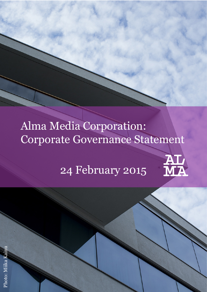# Alma Media Corporation: Corporate Governance Statement

# 24 February 2015



Photo: Miika KainuPhoto: Miika Kain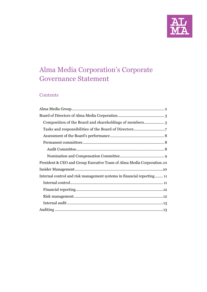

## Alma Media Corporation's Corporate Governance Statement

## **Contents**

| President & CEO and Group Executive Team of Alma Media Corporation.10  |
|------------------------------------------------------------------------|
|                                                                        |
| Internal control and risk management systems in financial reporting 11 |
|                                                                        |
|                                                                        |
|                                                                        |
|                                                                        |
|                                                                        |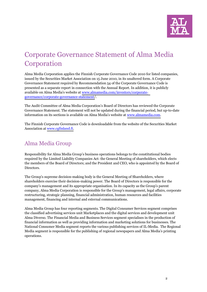

## Corporate Governance Statement of Alma Media Corporation

Alma Media Corporation applies the Finnish Corporate Governance Code 2010 for listed companies, issued by the Securities Market Association on 15 June 2010, in its unaltered form. A Corporate Governance Statement required by Recommendation 54 of the Corporate Governance Code is presented as a separate report in connection with the Annual Report. In addition, it is publicly available on Alma Media's website at [www.almamedia.com/investors/corporate](http://www.almamedia.com/investors/corporate-governance/corporate-governance-statement)[governance/corporate-governance-statement/](http://www.almamedia.com/investors/corporate-governance/corporate-governance-statement).

The Audit Committee of Alma Media Corporation's Board of Directors has reviewed the Corporate Governance Statement. The statement will not be updated during the financial period, but up-to-date information on its sections is available on Alma Media's website at [www.almamedia.com.](http://www.almamedia.fi/)

The Finnish Corporate Governance Code is downloadable from the website of the Securities Market Association at [www.cgfinland.fi.](http://www.cgfinland.fi/)

## Alma Media Group

Responsibility for Alma Media Group's business operations belongs to the constitutional bodies required by the Limited Liability Companies Act: the General Meeting of shareholders, which elects the members of the Board of Directors; and the President and CEO, who is appointed by the Board of Directors.

The Group's supreme decision-making body is the General Meeting of Shareholders, where shareholders exercise their decision-making power. The Board of Directors is responsible for the company's management and its appropriate organisation. In its capacity as the Group's parent company, Alma Media Corporation is responsible for the Group's management, legal affairs, corporate restructuring, strategic planning, financial administration, human resources and facilities management, financing and internal and external communications.

Alma Media Group has four reporting segments. The Digital Consumer Services segment comprises the classified advertising services unit Marketplaces and the digital services and development unit Alma Diverso. The Financial Media and Business Services segment specialises in the production of financial information as well as providing information and marketing solutions for businesses. The National Consumer Media segment reports the various publishing services of IL-Media. The Regional Media segment is responsible for the publishing of regional newspapers and Alma Media's printing operations.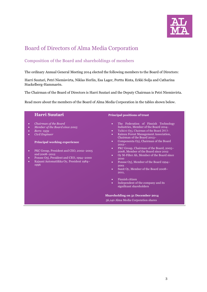

## Board of Directors of Alma Media Corporation

## Composition of the Board and shareholdings of members

#### The ordinary Annual General Meeting 2014 elected the following members to the Board of Directors:

Harri Suutari, Petri Niemisvirta, Niklas Herlin, Esa Lager, Perttu Rinta, Erkki Solja and Catharina Stackelberg-Hammarén.

The Chairman of the Board of Directors is Harri Suutari and the Deputy Chairman is Petri Niemisvirta.

Read more about the members of the Board of Alma Media Corporation in the tables shown below.

#### **Harri Suutari**

- · *Chairman of the Board*
- · *Member of the Board since 2005*
- · *Born: 1959*
- · *Civil Engineer*

#### **Principal working experience**

- PKC Group, President and CEO, 2002-2005 and 2008–2012
- · Ponsse Oyj, President and CEO, 1994–2000
- · Kajaani Automatiikka Oy, President 1984– 1996

#### **Principal positions of trust**

- The Federation of Finnish Technology Industries, Member of the Board 2014–
- · Tulikivi Oyj, Chairman of the Board 2013–
- · Kainuu Forest Management Association, Chairman of the Board 2013–
- · Componenta Oyj, Chairman of the Board 2012–
- · PKC Group, Chairman of the Board, 2005– 2008, Member of the Board since 2012
- · Oy M-Filter Ab, Member of the Board since 2010
- · Ponsse Oyj, Member of the Board 1994– 2001
- Sunit Oy, Member of the Board 2008-2011,
- Finnish citizen
- Independent of the company and its significant shareholders

**Shareholding on 31 December 2014** 56,140 Alma Media Corporation shares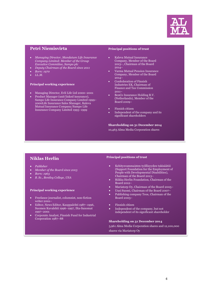

### **Petri Niemisvirta**

- · *Managing Director, Mandatum Life Insurance Company Limited; Member of the Group Executive Committee, Sampo plc*
- · *Deputy Chairman of the Board since 2011*
- · *Born: 1970*
- · *LL.M.*

#### **Principal working experience**

- · Managing Director, Evli Life Ltd 2000–2001
- Product Manager (unit linked insurance), Sampo Life Insurance Company Limited 1999– 2000Life Insurance Sales Manager, Kaleva Mutual Insurance Company/Sampo Life Insurance Company Limited 1995–1999

#### **Principal positions of trust**

- Kaleva Mutual Insurance Company, Member of the Board 2013–, Chairman of the Board 2014–
- · Varma Mutual Pension Insurance Company, Member of the Board 2014–
- Confederation of Finnish Industries EK, Chairman of Finance and Tax Commission 2011–
- BenCo Insurance Holding B.V. (Netherlands), Member of the Board 2009–
- · Finnish citizen
- · Independent of the company and its significant shareholders

#### **Shareholding on 31 December 2014**

10,463 Alma Media Corporation shares

### **Niklas Herlin**

- · *Publisher*
- · *Member of the Board since 2013*
- · *Born: 1963*
- · *B. Sc., Bentley College, USA*

#### **Principal working experience**

- · Freelance journalist, columnist, non-fiction writer 2001–
- · Editor, News Editor, Kauppalehti 1987–1996, Suomen Kuvalehti 1996–1997, Ilta-Sanomat 1997–2001
- · Corporate Analyst, Finnish Fund for Industrial Cooperation 1987–88

#### **Principal positions of trust**

- · Kehitysvammaisten työllisyyden tukisäätiö (Support Foundation for the Employment of People with Developmental Disabilities), Chairman of the Board 2013–
- · Riikka Herlin Foundation, Chairman of the Board 2012–
- · Mariatorp Oy, Chairman of the Board 2005–
- · Uusi Suomi, Chairman of the Board 2007–
- · Publishing company Teos, Chairman of the Board 2003–
- · Finnish citizen
- Independent of the company, but not independent of its significant shareholder

#### **Shareholding on 31 December 2014**

5,961 Alma Media Corporation shares and 12,100,000 shares via Mariatorp Oy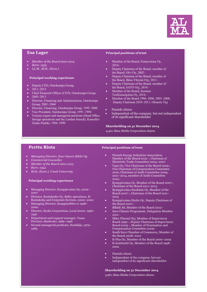

#### **Esa Lager**

- · *Member of the Board since 2014*
- · *Born: 1959*
- · *LL.M., M.Sc. (Econ.)*

#### **Principal working experience**

- · Deputy CEO, Outokumpu Group,
- · 2011–2013
- · Chief Financial Officer (CFO), Outokumpu Group,
- · 2005–2013
- · Director, Financing and Administration, Outokumpu Group, 2001–2004
- · Director, Financing, Outokumpu Group, 1995–2000
- · Vice President, Outokumpu Group, 1991–1994
- Various expert and managerial positions (Head Office foreign operations and the London branch), Kansallis-Osake-Pankki, 1984–1990

#### **Principal positions of trust**

- Member of the Board, Fennovoima Oy, 2014–
- · Deputy Chairman of the Board, member of the Board, Olvi Oy, 2002–
- Deputy Chairman of the Board, member of the Board, Ilkka-Yhtymä Oyj, 2011–
- · Deputy Chairman of the Board, member of the Board, SATO Oyj, 2014–
- Member of the Board, Suomen Teollisuusijoitus Oy, 2014–
- · Member of the Board 1996–2000, 2003–2008, Deputy Chairman 2010–2011, Okmetic Oyj
- Finnish citizen
- Independent of the company, but not independent of its significant shareholder

#### **Shareholding on 31 December 2014**

4,421 Alma Media Corporation shares

#### **Perttu Rinta**

- · *Managing Director, Suur-Savon Sähkö Oy*
- · *Commercial Counsellor*
- · *Member of the Board since 2013*
- · *Born: 1954*
- · *M.Sc. (Econ.), Umeå University*

#### **Principal working experience**

- · Managing Director, Kymppivoima Oy, 2002– 2007
- · Director, Rautakesko Oy, Baltic operations, K-Rautaketju and Corporate Services, 2000–2002
- · Managing Director, Kauppiasliitto ry 1998– 2000
- · Director, Kesko Corporation, Local stores, 1996– 1997
- · Department and support manager, Vaasa Province Aluekesko, 1989–1996
- · Several managerial positions, Hankkija, 1979– 1989

#### **Principal positions of trust**

- · Finnish Energy Industries Association, Member of the Board 2012–, Chairman of Electricity Trade Committee 2004–2007
- · Vapo Oy, Vice Chairman of the Board 2009–, Vice Chairman of Compensation Committee 2010, Chairman of Audit Committee 2009, 2011–2014, member of Audit Committee 2014–
- · Kymppivoima Oy, Member of the Board 2007-, Chairman of the Board 2011–2013
- · Kymppivoima Hankinta Oy, Member of the Board 2007–, Chairman of the Board 2011– 2013
- · Kymppivoima Hydro Oy, Deputy Chairman of the Board 2007–
- · Blåfall AS, Member of the Board 2012–
- · Savo Climate Programme, Delegation Member 2011–
- · Ilkka-Yhtymä Oyj, Member of Supervisory Board 1999–, Deputy Chairman of Supervisory Board 2009–, Member of Nomination and Compensation Committee 2009–
- South Savo Chamber of Commerce, Member of the Board 2008–2012
- · K-Plus Oy, Member of the Board 2000–2002
- · K-Instituutti Oy, Member of the Board 1998– 2002
- Finnish citizen
- Independent of the company, but not independent of its significant shareholder

#### **Shareholding on 31 December 2014**

5,961 Alma Media Corporation shares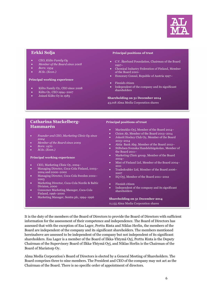

#### **Erkki Solja**

- · *CEO, Kiilto Family Oy*
- · *Member of the Board since 2008*
- · *Born: 1954*
- · *M.Sc. (Econ.)*

#### **Principal working experience**

- · Kiilto Family Oy, CEO since 2008
- · Kiilto Oy, CEO 1994–2007
- · Joined Kiilto Oy in 1983

#### **Principal positions of trust**

- · C.V. Åkerlund Foundation, Chairman of the Board 1997–
- · Chemical Industry Federation of Finland, Member of the Board 2001-
- · Honorary Consul, Republic of Austria 1997–
- · Finnish citizen
- · Independent of the company and its significant shareholders

**Shareholding on 31 December 2014**

#### 43,018 Alma Media Corporation shares

### **Catharina Stackelberg-Hammarén**

- · *Founder and CEO, Marketing Clinic Oy since 2004*
- · *Member of the Board since 2009*
- · *Born: 1970*
- · *M.Sc. (Econ.)*

#### **Principal working experience**

- · CEO, Marketing Clinic Oy, 2004–
- · Managing Director, Coca-Cola Finland, 2003– 2004 and 2000–2002
- · Managing Director, Coca-Cola Sweden 2002– 2003
- · Marketing Director, Coca-Cola Nordic & Baltic Division, 2000
- · Consumer Marketing Manager, Coca-Cola Finland, 1996–2000
- · Marketing Manager, Sentra plc, 1994–1996

#### **Principal positions of trust**

- · Marimekko Oyj, Member of the Board 2014–
- Cision Ab, Member of the Board 2013-2014
- · Jokerit Hockey Club Oy, Member of the Board 2013–2014
- · Aktia Bank Abp, Member of the Board 2012–
- · Stiftelsen Svenska Handelshögskolan, Member of the Board 2011–
- · Marketing Clinic group, Member of the Board 2004–
- Mint of Finland Ltd, Member of the Board 2004-2011
- · Tradedoubler Ltd, Member of the Board 2006– 2007
- · EQ Oyj, Member of the Board 2011–2012
- · Finnish citizen
- Independent of the company and its significant shareholders

**Shareholding on 31 December 2014** 11,155 Alma Media Corporation shares

It is the duty of the members of the Board of Directors to provide the Board of Directors with sufficient information for the assessment of their competence and independence. The Board of Directors has assessed that with the exception of Esa Lager, Perttu Rinta and Niklas Herlin, the members of the Board are independent of the company and its significant shareholders. The members mentioned hereinabove are assessed to be independent of the company but not independent of its significant shareholders. Esa Lager is a member of the Board of Ilkka-Yhtymä Oyj, Perttu Rinta is the Deputy Chairman of the Supervisory Board of Ilkka-Yhtymä Oyj, and Niklas Herlin is the Chairman of the Board of Mariatorp Oy.

Alma Media Corporation's Board of Directors is elected by a General Meeting of Shareholders. The Board comprises three to nine members. The President and CEO of the company may not act as the Chairman of the Board. There is no specific order of appointment of directors.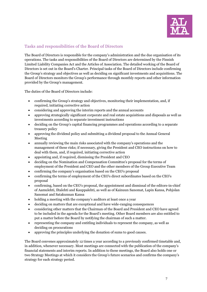

## Tasks and responsibilities of the Board of Directors

The Board of Directors is responsible for the company's administration and the due organisation of its operations. The tasks and responsibilities of the Board of Directors are determined by the Finnish Limited Liability Companies Act and the Articles of Association. The detailed working of the Board of Directors is set out in the Board's Charter. Principal tasks of the Board of Directors include confirming the Group's strategy and objectives as well as deciding on significant investments and acquisitions. The Board of Directors monitors the Group's performance through monthly reports and other information provided by the Group's management.

The duties of the Board of Directors include:

- · confirming the Group's strategy and objectives, monitoring their implementation, and, if required, initiating corrective action
- · considering and approving the interim reports and the annual accounts
- · approving strategically significant corporate and real estate acquisitions and disposals as well as investments according to separate investment instructions
- · deciding on the Group's capital financing programmes and operations according to a separate treasury policy
- · approving the dividend policy and submitting a dividend proposal to the Annual General Meeting
- · annually reviewing the main risks associated with the company's operations and the management of these risks; if necessary, giving the President and CEO instructions on how to deal with them, and, if required, initiating corrective action
- · appointing and, if required, dismissing the President and CEO
- · deciding on the Nomination and Compensation Committee's proposal for the terms of employment of the President and CEO and the other members of the Group Executive Team
- · confirming the company's organisation based on the CEO's proposal
- · confirming the terms of employment of the CEO's direct subordinates based on the CEO's proposal
- · confirming, based on the CEO's proposal, the appointment and dismissal of the editors-in-chief of Aamulehti, Iltalehti and Kauppalehti, as well as of Kainuun Sanomat, Lapin Kansa, Pohjolan Sanomat and Satakunnan Kansa
- holding a meeting with the company's auditors at least once a year
- deciding on matters that are exceptional and have wide-ranging consequences
- · considering other matters that the Chairman of the Board and President and CEO have agreed to be included in the agenda for the Board's meeting. Other Board members are also entitled to put a matter before the Board by notifying the chairman of such a matter.
- · representing the company and entitling individuals to represent the company, as well as deciding on procurations
- · approving the principles underlying the donation of sums to good causes.

The Board convenes approximately 12 times a year according to a previously confirmed timetable and, in addition, whenever necessary. Most meetings are connected with the publication of the company's financial statements and interim reports. In addition to these meetings, the Board also holds one or two Strategy Meetings at which it considers the Group's future scenarios and confirms the company's strategy for each strategy period.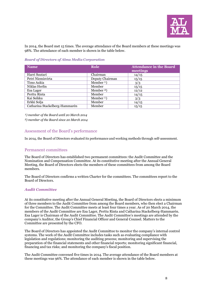

In 2014, the Board met 15 times. The average attendance of the Board members at these meetings was 98%. The attendance of each member is shown in the table below.

*Board of Directors of Alma Media Corporation*

| <b>Name</b>                    | Role            | <b>Attendance in the Board</b><br>meetings |
|--------------------------------|-----------------|--------------------------------------------|
| Harri Suutari                  | Chairman        | 14/15                                      |
| Petri Niemisvirta              | Deputy Chairman | 15/15                                      |
| Timo Aukia                     | Member $1)$     | 3/3                                        |
| Niklas Herlin                  | Member          | 15/15                                      |
| Esa Lager                      | Member 2)       | 12/12                                      |
| Perttu Rinta                   | Member          | 14/15                                      |
| Kai Seikku                     | Member $1)$     | 3/3                                        |
| Erkki Solja                    | Member          | 14/15                                      |
| Catharina Stackelberg-Hammarén | Member          | 15/15                                      |

*¹) member of the Board until 20 March 2014*

*²) member of the Board since 20 March 2014*

### Assessment of the Board's performance

In 2014, the Board of Directors evaluated its performance and working methods through self-assessment.

#### Permanent committees

The Board of Directors has established two permanent committees: the Audit Committee and the Nomination and Compensation Committee. At its constitutive meeting after the Annual General Meeting, the Board of Directors elects the members of these committees from among the Board members.

The Board of Directors confirms a written Charter for the committees. The committees report to the Board of Directors.

#### *Audit Committee*

At its constitutive meeting after the Annual General Meeting, the Board of Directors elects a minimum of three members to the Audit Committee from among the Board members, who then elect a Chairman for the Committee. The Audit Committee meets at least four times a year. As of 20 March 2014, the members of the Audit Committee are Esa Lager, Perttu Rinta and Catharina Stackelberg-Hammarén. Esa Lager is Chairman of the Audit Committee. The Audit Committee's meetings are attended by the company's Auditor, the Group's Chief Financial Officer and General Counsel. Matters to the Committee are presented by the CFO.

The Board of Directors has appointed the Audit Committee to monitor the company's internal control systems. The work of the Audit Committee includes tasks such as evaluating compliance with legislation and regulations; monitoring the auditing process; monitoring and supervising the preparation of the financial statements and other financial reports; monitoring significant financial, financing and tax risks; and monitoring the company's fiscal position.

The Audit Committee convened five times in 2014. The average attendance of the Board members at these meetings was 96%. The attendance of each member is shown in the table below.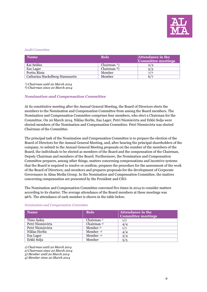

#### *Audit Committee*

| <b>Name</b>                    | Role           | <b>Attendance in the</b><br><b>Committee meetings</b> |
|--------------------------------|----------------|-------------------------------------------------------|
| Kai Seikku                     | Chairman $1$ ) | 2/2                                                   |
| Esa Lager                      | Chairman 2)    | 5/5                                                   |
| Perttu Rinta                   | Member         | 717                                                   |
| Catharina Stackelberg-Hammarén | Member         | 6/7                                                   |

*¹) Chairman until 20 March 2014*

*²) Chairman since 20 March 2014*

#### *Nomination and Compensation Committee*

At its constitutive meeting after the Annual General Meeting, the Board of Directors elects the members to the Nomination and Compensation Committee from among the Board members. The Nomination and Compensation Committee comprises four members, who elect a Chairman for the Committee. On 20 March 2014, Niklas Herlin, Esa Lager, Petri Niemisvirta and Erkki Solja were elected members of the Nomination and Compensation Committee. Petri Niemisvirta was elected Chairman of the Committee.

The principal task of the Nomination and Compensation Committee is to prepare the election of the Board of Directors for the Annual General Meeting, and, after hearing the principal shareholders of the company, to submit to the Annual General Meeting proposals on the number of the members of the Board, the individuals to be elected as members of the Board and the compensation of the Chairman, Deputy Chairman and members of the Board. Furthermore, the Nomination and Compensation Committee prepares, among other things, matters concerning compensations and incentive systems that the Board is required to resolve or confirm; prepares the procedure for the assessment of the work of the Board of Directors; and monitors and prepares proposals for the development of Corporate Governance in Alma Media Group. In the Nomination and Compensation Committee, the matters concerning compensation are presented by the President and CEO.

The Nomination and Compensation Committee convened five times in 2014 to consider matters according to its charter. The average attendance of the Board members at these meetings was 96%. The attendance of each member is shown in the table below.

| <b>Name</b>       | Role                                | <b>Attendance in the</b><br><b>Committee meetings</b> |
|-------------------|-------------------------------------|-------------------------------------------------------|
| Timo Aukia        | Chairman <sup><math>1)</math></sup> | 1/1                                                   |
| Petri Niemisvirta | Chairman <sup>2)</sup>              | 4/4                                                   |
| Petri Niemisvirta | Member <sup>3)</sup>                | 1/1                                                   |
| Niklas Herlin     | Member 4)                           | 4/4                                                   |
| Esa Lager         | Member 4)                           | 3/4                                                   |
| Erkki Solja       | Member                              | 5/5                                                   |

#### *Nomination and Compensation Committee*

*1) Chairman until 20 March 2014*

*2) Chairman since 20 March 2014*

*3) Member until 20 March 2014*

*4) Member since 20 March 2014*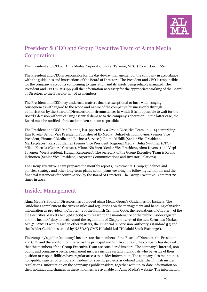

## President & CEO and Group Executive Team of Alma Media Corporation

The President and CEO of Alma Media Corporation is Kai Telanne, M.Sc. (Econ.), born 1964.

The President and CEO is responsible for the day-to-day management of the company in accordance with the guidelines and instructions of the Board of Directors. The President and CEO is responsible for the company's accounts conforming to legislation and its assets being reliably managed. The President and CEO must supply all the information necessary for the appropriate working of the Board of Directors to the Board or any of its members.

The President and CEO may undertake matters that are exceptional or have wide-ranging consequences with regard to the scope and nature of the company's business only through authorisation by the Board of Directors or, in circumstances in which it is not possible to wait for the Board's decision without causing essential damage to the company's operation. In the latter case, the Board must be notified of the action taken as soon as possible.

The President and CEO, Mr Telanne, is supported by a Group Executive Team, in 2014 comprising Kari Kivelä (Senior Vice President, Publisher of IL-Media), Juha-Petri Loimovuori (Senior Vice President, Financial Media and Business Services), Raimo Mäkilä (Senior Vice President, Marketplaces), Kari Juutilainen (Senior Vice President, Regional Media), Juha Nuutinen (CFO), Mikko Korttila (General Counsel), Minna Nissinen (Senior Vice President, Alma Diverso) and Virpi Juvonen (Vice President, Human Resources). The secretary of the Group Executive Team is Rauno Heinonen (Senior Vice President, Corporate Communications and Investor Relations).

The Group Executive Team prepares the monthly reports, investments, Group guidelines and policies, strategy and other long-term plans, action plans covering the following 12 months and the financial statements for confirmation by the Board of Directors. The Group Executive Team met 20 times in 2014.

## Insider Management

Alma Media's Board of Directors has approved Alma Media Group's Guidelines for Insiders. The Guidelines complement the current rules and regulations on the management and handling of insider information as provided in Chapter 51 of the Finnish Criminal Code, the regulations of Chapter 5 of the old Securities Markets Act (495/1989) with regard to the maintenance of the public insider register and the insiders' duty to declare and the regulations of Chapters 12–13 of the new Securities Markets Act (746/2012) with regard to other matters, the Financial Supervision Authority's standard 5.3 and the Insider Guidelines issued by NASDAQ OMX Helsinki Ltd ('Helsinki Stock Exchange').

The company's public (statutory) insiders are the members of the Board of Directors, the President and CEO and the auditor nominated as the principal auditor. In addition, the company has decided that the members of the Group Executive Team are considered insiders. The company's internal, nonpublic and company-specific permanent insiders include certain individuals who by virtue of their position or responsibilities have regular access to insider information. The company also maintains a non-public register of temporary insiders for specific projects as defined under the Finnish insider regulations. Information on the company's public insiders, together with up-to-date information on their holdings and changes in these holdings, are available on Alma Media's website. The information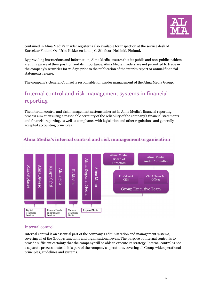

contained in Alma Media's insider register is also available for inspection at the service desk of Euroclear Finland Oy, Urho Kekkosen katu 5 C, 8th floor, Helsinki, Finland.

By providing instructions and information, Alma Media ensures that its public and non-public insiders are fully aware of their position and its importance. Alma Media insiders are not permitted to trade in the company's securities for 21 days prior to the publication of the interim report or annual financial statements release.

The company's General Counsel is responsible for insider management of the Alma Media Group.

## Internal control and risk management systems in financial reporting

The internal control and risk management systems inherent in Alma Media's financial reporting process aim at ensuring a reasonable certainty of the reliability of the company's financial statements and financial reporting, as well as compliance with legislation and other regulations and generally accepted accounting principles.



## Alma Media's internal control and risk management organisation

### Internal control

Internal control is an essential part of the company's administration and management systems, covering all of the Group's functions and organisational levels. The purpose of internal control is to provide sufficient certainty that the company will be able to execute its strategy. Internal control is not a separate process, instead, it is part of the company's operations, covering all Group-wide operational principles, guidelines and systems.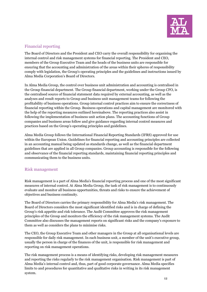

## Financial reporting

The Board of Directors and the President and CEO carry the overall responsibility for organising the internal control and risk management systems for financial reporting. The President and CEO, members of the Group Executive Team and the heads of the business units are responsible for ensuring that the accounting and administration of the areas within their spheres of responsibility comply with legislation, the Group's operating principles and the guidelines and instructions issued by Alma Media Corporation's Board of Directors.

In Alma Media Group, the control over business unit administration and accounting is centralised in the Group financial department. The Group financial department, working under the Group CFO, is the centralised source of financial statement data required by external accounting, as well as the analyses and result reports to Group and business unit management teams for following the profitability of business operations. Group internal control practices aim to ensure the correctness of financial reporting within the Group. Business operations and capital management are monitored with the help of the reporting measures outlined hereinabove. The reporting practices also assist in following the implementation of business unit action plans. The accounting functions of Group companies and business areas follow and give guidance regarding internal control measures and practices based on the Group's operating principles and guidelines.

Alma Media Group follows the International Financial Reporting Standards (IFRS) approved for use within the European Union. Guidelines for financial reporting and accounting principles are collected in an accounting manual being updated as standards change, as well as the financial department guidelines that are applied in all Group companies. Group accounting is responsible for the following and observance of the financial reporting standards, maintaining financial reporting principles and communicating them to the business units.

## Risk management

Risk management is a part of Alma Media's financial reporting process and one of the most significant measures of internal control. At Alma Media Group, the task of risk management is to continuously evaluate and monitor all business opportunities, threats and risks to ensure the achievement of objectives and business continuity.

The Board of Directors carries the primary responsibility for Alma Media's risk management. The Board of Directors considers the most significant identified risks and is in charge of defining the Group's risk appetite and risk tolerance. The Audit Committee approves the risk management principles of the Group and monitors the efficiency of the risk management systems. The Audit Committee also discusses the management reports on significant risks and the company's exposure to them as well as considers the plans to minimise risks.

The CEO, the Group Executive Team and other managers in the Group at all organisational levels are responsible for daily risk management. In each business unit, a member of the unit's executive group, usually the person in charge of the finances of the unit, is responsible for risk management and reporting on risk management operations.

The risk management process is a means of identifying risks, developing risk management measures and reporting the risks regularly to the risk management organisation. Risk management is part of Alma Media's internal control and, thus, part of good corporate governance. Alma Media specifies limits to and procedures for quantitative and qualitative risks in writing in its risk management system.